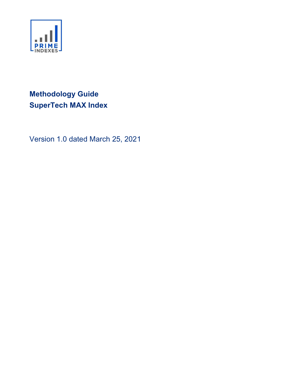

# Methodology Guide SuperTech MAX Index

Version 1.0 dated March 25, 2021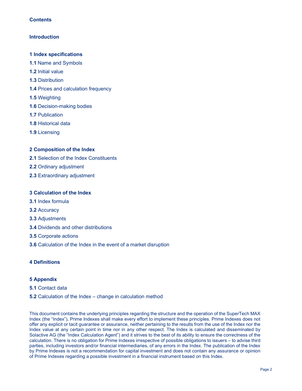# **Introduction**

#### 1 Index specifications

- 1.1 Name and Symbols
- 1.2 Initial value
- 1.3 Distribution
- 1.4 Prices and calculation frequency
- 1.5 Weighting
- 1.6 Decision-making bodies
- 1.7 Publication
- 1.8 Historical data
- 1.9 Licensing

# 2 Composition of the Index

- 2.1 Selection of the Index Constituents
- 2.2 Ordinary adjustment
- 2.3 Extraordinary adjustment

#### 3 Calculation of the Index

- 3.1 Index formula
- 3.2 Accuracy
- 3.3 Adjustments
- 3.4 Dividends and other distributions
- 3.5 Corporate actions
- 3.6 Calculation of the Index in the event of a market disruption

# 4 Definitions

# 5 Appendix

#### 5.1 Contact data

#### 5.2 Calculation of the Index – change in calculation method

This document contains the underlying principles regarding the structure and the operation of the SuperTech MAX Index (the "Index"). Prime Indexes shall make every effort to implement these principles. Prime Indexes does not offer any explicit or tacit guarantee or assurance, neither pertaining to the results from the use of the Index nor the Index value at any certain point in time nor in any other respect. The Index is calculated and disseminated by Solactive AG (the "Index Calculation Agent") and it strives to the best of its ability to ensure the correctness of the calculation. There is no obligation for Prime Indexes irrespective of possible obligations to issuers – to advise third parties, including investors and/or financial intermediaries, of any errors in the Index. The publication of the Index by Prime Indexes is not a recommendation for capital investment and does not contain any assurance or opinion of Prime Indexes regarding a possible investment in a financial instrument based on this Index.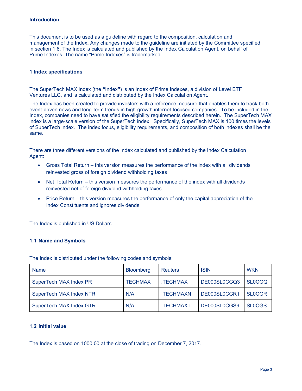#### **Introduction**

This document is to be used as a guideline with regard to the composition, calculation and management of the Index. Any changes made to the guideline are initiated by the Committee specified in section 1.6. The Index is calculated and published by the Index Calculation Agent, on behalf of Prime Indexes. The name "Prime Indexes" is trademarked.

#### 1 Index specifications

The SuperTech MAX Index (the "Index") is an Index of Prime Indexes, a division of Level ETF Ventures LLC, and is calculated and distributed by the Index Calculation Agent.

The Index has been created to provide investors with a reference measure that enables them to track both event-driven news and long-term trends in high-growth internet-focused companies. To be included in the Index, companies need to have satisfied the eligibility requirements described herein. The SuperTech MAX index is a large-scale version of the SuperTech index. Specifically, SuperTech MAX is 100 times the levels of SuperTech index. The index focus, eligibility requirements, and composition of both indexes shall be the same.

There are three different versions of the Index calculated and published by the Index Calculation Agent:

- Gross Total Return this version measures the performance of the index with all dividends reinvested gross of foreign dividend withholding taxes
- Net Total Return this version measures the performance of the index with all dividends reinvested net of foreign dividend withholding taxes
- Price Return this version measures the performance of only the capital appreciation of the Index Constituents and ignores dividends

The Index is published in US Dollars.

#### 1.1 Name and Symbols

The Index is distributed under the following codes and symbols:

| <b>Name</b>                    | <b>Bloomberg</b> | <b>Reuters</b>   | <b>ISIN</b>  | <b>WKN</b>    |
|--------------------------------|------------------|------------------|--------------|---------------|
| SuperTech MAX Index PR         | <b>TECHMAX</b>   | TECHMAX.         | DE000SL0CGQ3 | <b>SLOCGQ</b> |
| <b>SuperTech MAX Index NTR</b> | N/A              | .TECHMAXN        | DE000SL0CGR1 | <b>SLOCGR</b> |
| <b>SuperTech MAX Index GTR</b> | N/A              | <b>.TECHMAXT</b> | DE000SL0CGS9 | <b>SLOCGS</b> |

# 1.2 Initial value

The Index is based on 1000.00 at the close of trading on December 7, 2017.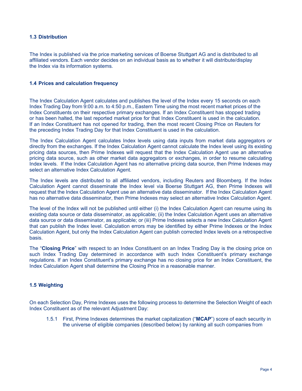## 1.3 Distribution

The Index is published via the price marketing services of Boerse Stuttgart AG and is distributed to all affiliated vendors. Each vendor decides on an individual basis as to whether it will distribute/display the Index via its information systems.

#### 1.4 Prices and calculation frequency

The Index Calculation Agent calculates and publishes the level of the Index every 15 seconds on each Index Trading Day from 9:00 a.m. to 4:50 p.m., Eastern Time using the most recent market prices of the Index Constituents on their respective primary exchanges. If an Index Constituent has stopped trading or has been halted, the last reported market price for that Index Constituent is used in the calculation. If an Index Constituent has not opened for trading, then the most recent Closing Price on Reuters for the preceding Index Trading Day for that Index Constituent is used in the calculation.

The Index Calculation Agent calculates Index levels using data inputs from market data aggregators or directly from the exchanges. If the Index Calculation Agent cannot calculate the Index level using its existing pricing data sources, then Prime Indexes will request that the Index Calculation Agent use an alternative pricing data source, such as other market data aggregators or exchanges, in order to resume calculating Index levels. If the Index Calculation Agent has no alternative pricing data source, then Prime Indexes may select an alternative Index Calculation Agent.

The Index levels are distributed to all affiliated vendors, including Reuters and Bloomberg. If the Index Calculation Agent cannot disseminate the Index level via Boerse Stuttgart AG, then Prime Indexes will request that the Index Calculation Agent use an alternative data disseminator. If the Index Calculation Agent has no alternative data disseminator, then Prime Indexes may select an alternative Index Calculation Agent.

The level of the Index will not be published until either (i) the Index Calculation Agent can resume using its existing data source or data disseminator, as applicable; (ii) the Index Calculation Agent uses an alternative data source or data disseminator, as applicable; or (iii) Prime Indexes selects a new Index Calculation Agent that can publish the Index level. Calculation errors may be identified by either Prime Indexes or the Index Calculation Agent, but only the Index Calculation Agent can publish corrected Index levels on a retrospective basis.

The "Closing Price" with respect to an Index Constituent on an Index Trading Day is the closing price on such Index Trading Day determined in accordance with such Index Constituent's primary exchange regulations. If an Index Constituent's primary exchange has no closing price for an Index Constituent, the Index Calculation Agent shall determine the Closing Price in a reasonable manner.

# 1.5 Weighting

On each Selection Day, Prime Indexes uses the following process to determine the Selection Weight of each Index Constituent as of the relevant Adjustment Day:

1.5.1 First, Prime Indexes determines the market capitalization ("MCAP") score of each security in the universe of eligible companies (described below) by ranking all such companies from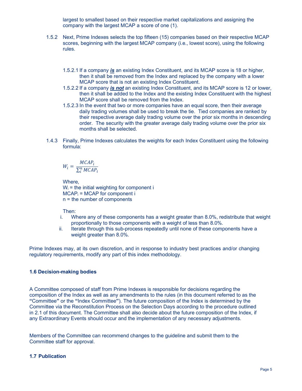largest to smallest based on their respective market capitalizations and assigning the company with the largest MCAP a score of one (1).

- 1.5.2 Next, Prime Indexes selects the top fifteen (15) companies based on their respective MCAP scores, beginning with the largest MCAP company (i.e., lowest score), using the following rules.
	- 1.5.2.1 If a company is an existing Index Constituent, and its MCAP score is 18 or higher, then it shall be removed from the Index and replaced by the company with a lower MCAP score that is not an existing Index Constituent.
	- 1.5.2.2 If a company *is not* an existing Index Constituent, and its MCAP score is 12 or lower, then it shall be added to the Index and the existing Index Constituent with the highest MCAP score shall be removed from the Index.
	- 1.5.2.3 In the event that two or more companies have an equal score, then their average daily trading volumes shall be used to break the tie. Tied companies are ranked by their respective average daily trading volume over the prior six months in descending order. The security with the greater average daily trading volume over the prior six months shall be selected.
- 1.4.3 Finally, Prime Indexes calculates the weights for each Index Constituent using the following formula:

$$
W_i = \frac{MCAP_i}{\sum_i^n MCAP_i}
$$

Where,  $W_i$  = the initial weighting for component i  $MCAP<sub>i</sub> = MCAP$  for component i n = the number of components

# Then:

- i. Where any of these components has a weight greater than 8.0%, redistribute that weight proportionally to those components with a weight of less than 8.0%.
- ii. Iterate through this sub-process repeatedly until none of these components have a weight greater than 8.0%.

Prime Indexes may, at its own discretion, and in response to industry best practices and/or changing regulatory requirements, modify any part of this index methodology.

# 1.6 Decision-making bodies

A Committee composed of staff from Prime Indexes is responsible for decisions regarding the composition of the Index as well as any amendments to the rules (in this document referred to as the "Committee" or the "Index Committee"). The future composition of the Index is determined by the Committee via the Reconstitution Process on the Selection Days according to the procedure outlined in 2.1 of this document. The Committee shall also decide about the future composition of the Index, if any Extraordinary Events should occur and the implementation of any necessary adjustments.

Members of the Committee can recommend changes to the guideline and submit them to the Committee staff for approval.

# 1.7 Publication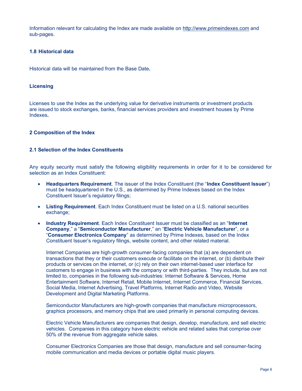Information relevant for calculating the Index are made available on http://www.primeindexes.com and sub-pages.

#### 1.8 Historical data

Historical data will be maintained from the Base Date.

#### **Licensing**

Licenses to use the Index as the underlying value for derivative instruments or investment products are issued to stock exchanges, banks, financial services providers and investment houses by Prime Indexes.

#### 2 Composition of the Index

#### 2.1 Selection of the Index Constituents

Any equity security must satisfy the following eligibility requirements in order for it to be considered for selection as an Index Constituent:

- Headquarters Requirement. The issuer of the Index Constituent (the "Index Constituent Issuer") must be headquartered in the U.S., as determined by Prime Indexes based on the Index Constituent Issuer's regulatory filings;
- Listing Requirement. Each Index Constituent must be listed on a U.S. national securities exchange;
- Industry Requirement. Each Index Constituent Issuer must be classified as an "Internet" Company," a "Semiconductor Manufacturer," an "Electric Vehicle Manufacturer", or a "Consumer Electronics Company" as determined by Prime Indexes, based on the Index Constituent Issuer's regulatory filings, website content, and other related material.

Internet Companies are high-growth consumer-facing companies that (a) are dependent on transactions that they or their customers execute or facilitate on the internet, or (b) distribute their products or services on the internet, or (c) rely on their own internet-based user interface for customers to engage in business with the company or with third-parties. They include, but are not limited to, companies in the following sub-industries: Internet Software & Services, Home Entertainment Software, Internet Retail, Mobile Internet, Internet Commerce, Financial Services, Social Media, Internet Advertising, Travel Platforms, Internet Radio and Video, Website Development and Digital Marketing Platforms.

Semiconductor Manufacturers are high-growth companies that manufacture microprocessors, graphics processors, and memory chips that are used primarily in personal computing devices.

Electric Vehicle Manufacturers are companies that design, develop, manufacture, and sell electric vehicles. Companies in this category have electric vehicle and related sales that comprise over 50% of the revenue from aggregate vehicle sales.

Consumer Electronics Companies are those that design, manufacture and sell consumer-facing mobile communication and media devices or portable digital music players.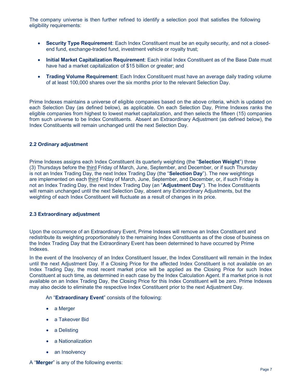The company universe is then further refined to identify a selection pool that satisfies the following eligibility requirements:

- Security Type Requirement: Each Index Constituent must be an equity security, and not a closedend fund, exchange-traded fund, investment vehicle or royalty trust;
- Initial Market Capitalization Requirement: Each initial Index Constituent as of the Base Date must have had a market capitalization of \$15 billion or greater; and
- Trading Volume Requirement: Each Index Constituent must have an average daily trading volume of at least 100,000 shares over the six months prior to the relevant Selection Day.

Prime Indexes maintains a universe of eligible companies based on the above criteria, which is updated on each Selection Day (as defined below), as applicable. On each Selection Day, Prime Indexes ranks the eligible companies from highest to lowest market capitalization, and then selects the fifteen (15) companies from such universe to be Index Constituents. Absent an Extraordinary Adjustment (as defined below), the Index Constituents will remain unchanged until the next Selection Day.

#### 2.2 Ordinary adjustment

Prime Indexes assigns each Index Constituent its quarterly weighting (the "**Selection Weight**") three (3) Thursdays before the third Friday of March, June, September, and December, or if such Thursday is not an Index Trading Day, the next Index Trading Day (the "Selection Day"). The new weightings are implemented on each third Friday of March, June, September, and December, or, if such Friday is not an Index Trading Day, the next Index Trading Day (an "**Adjustment Day**"). The Index Constituents will remain unchanged until the next Selection Day, absent any Extraordinary Adjustments, but the weighting of each Index Constituent will fluctuate as a result of changes in its price.

## 2.3 Extraordinary adjustment

Upon the occurrence of an Extraordinary Event, Prime Indexes will remove an Index Constituent and redistribute its weighting proportionately to the remaining Index Constituents as of the close of business on the Index Trading Day that the Extraordinary Event has been determined to have occurred by Prime Indexes.

In the event of the Insolvency of an Index Constituent Issuer, the Index Constituent will remain in the Index until the next Adjustment Day. If a Closing Price for the affected Index Constituent is not available on an Index Trading Day, the most recent market price will be applied as the Closing Price for such Index Constituent at such time, as determined in each case by the Index Calculation Agent. If a market price is not available on an Index Trading Day, the Closing Price for this Index Constituent will be zero. Prime Indexes may also decide to eliminate the respective Index Constituent prior to the next Adjustment Day.

An "Extraordinary Event" consists of the following:

- a Merger
- a Takeover Bid
- a Delisting
- a Nationalization
- an Insolvency

A "Merger" is any of the following events: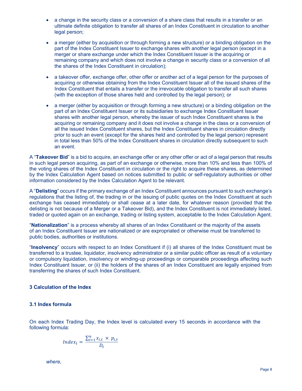- a change in the security class or a conversion of a share class that results in a transfer or an ultimate definite obligation to transfer all shares of an Index Constituent in circulation to another legal person;
- a merger (either by acquisition or through forming a new structure) or a binding obligation on the part of the Index Constituent Issuer to exchange shares with another legal person (except in a merger or share exchange under which the Index Constituent Issuer is the acquiring or remaining company and which does not involve a change in security class or a conversion of all the shares of the Index Constituent in circulation);
- a takeover offer, exchange offer, other offer or another act of a legal person for the purposes of acquiring or otherwise obtaining from the Index Constituent Issuer all of the issued shares of the Index Constituent that entails a transfer or the irrevocable obligation to transfer all such shares (with the exception of those shares held and controlled by the legal person); or
- a merger (either by acquisition or through forming a new structure) or a binding obligation on the part of an Index Constituent Issuer or its subsidiaries to exchange Index Constituent Issuer shares with another legal person, whereby the issuer of such Index Constituent shares is the acquiring or remaining company and it does not involve a change in the class or a conversion of all the issued Index Constituent shares, but the Index Constituent shares in circulation directly prior to such an event (except for the shares held and controlled by the legal person) represent in total less than 50% of the Index Constituent shares in circulation directly subsequent to such an event.

A "Takeover Bid" is a bid to acquire, an exchange offer or any other offer or act of a legal person that results in such legal person acquiring, as part of an exchange or otherwise, more than 10% and less than 100% of the voting shares of the Index Constituent in circulation or the right to acquire these shares, as determined by the Index Calculation Agent based on notices submitted to public or self-regulatory authorities or other information considered by the Index Calculation Agent to be relevant.

A "Delisting" occurs if the primary exchange of an Index Constituent announces pursuant to such exchange's regulations that the listing of, the trading in or the issuing of public quotes on the Index Constituent at such exchange has ceased immediately or shall cease at a later date, for whatever reason (provided that the delisting is not because of a Merger or a Takeover Bid), and the Index Constituent is not immediately listed, traded or quoted again on an exchange, trading or listing system, acceptable to the Index Calculation Agent.

"Nationalization" is a process whereby all shares of an Index Constituent or the majority of the assets of an Index Constituent Issuer are nationalized or are expropriated or otherwise must be transferred to public bodies, authorities or institutions.

"Insolvency" occurs with respect to an Index Constituent if (i) all shares of the Index Constituent must be transferred to a trustee, liquidator, insolvency administrator or a similar public officer as result of a voluntary or compulsory liquidation, insolvency or winding-up proceedings or comparable proceedings affecting such Index Constituent Issuer, or (ii) the holders of the shares of an Index Constituent are legally enjoined from transferring the shares of such Index Constituent.

# 3 Calculation of the Index

# 3.1 Index formula

On each Index Trading Day, the Index level is calculated every 15 seconds in accordance with the following formula:

$$
Index_t = \frac{\sum_{i=1}^{n} x_{i,t} \times p_{i,t}}{D_t}
$$

where,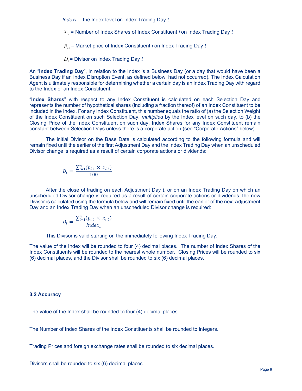$Index_t$  = the Index level on Index Trading Day t

 $x_{i,t}$  = Number of Index Shares of Index Constituent  $i$  on Index Trading Day  $t$ 

 $p_{_{i,t}}$ = Market price of Index Constituent  $i$  on Index Trading Day  $t$ 

 $D_{\overline{t}}$ = Divisor on Index Trading Day  $t$ 

An "**Index Trading Day**", in relation to the Index is a Business Day (or a day that would have been a Business Day if an Index Disruption Event, as defined below, had not occurred). The Index Calculation Agent is ultimately responsible for determining whether a certain day is an Index Trading Day with regard to the Index or an Index Constituent.

"Index Shares" with respect to any Index Constituent is calculated on each Selection Day and represents the number of hypothetical shares (including a fraction thereof) of an Index Constituent to be included in the Index. For any Index Constituent, this number equals the ratio of (a) the Selection Weight of the Index Constituent on such Selection Day, multiplied by the Index level on such day, to (b) the Closing Price of the Index Constituent on such day. Index Shares for any Index Constituent remain constant between Selection Days unless there is a corporate action (see "Corporate Actions" below).

 The initial Divisor on the Base Date is calculated according to the following formula and will remain fixed until the earlier of the first Adjustment Day and the Index Trading Day when an unscheduled Divisor change is required as a result of certain corporate actions or dividends:

$$
D_t = \frac{\sum_{i=1}^n (p_{i,t} \times x_{i,t})}{100}
$$

 After the close of trading on each Adjustment Day t, or on an Index Trading Day on which an unscheduled Divisor change is required as a result of certain corporate actions or dividends, the new Divisor is calculated using the formula below and will remain fixed until the earlier of the next Adjustment Day and an Index Trading Day when an unscheduled Divisor change is required:

$$
D_t = \frac{\sum_{i=1}^{n} (p_{i,t} \times x_{i,t})}{Index_t}
$$

This Divisor is valid starting on the immediately following Index Trading Day.

The value of the Index will be rounded to four (4) decimal places. The number of Index Shares of the Index Constituents will be rounded to the nearest whole number. Closing Prices will be rounded to six (6) decimal places, and the Divisor shall be rounded to six (6) decimal places.

#### 3.2 Accuracy

The value of the Index shall be rounded to four (4) decimal places.

The Number of Index Shares of the Index Constituents shall be rounded to integers.

Trading Prices and foreign exchange rates shall be rounded to six decimal places.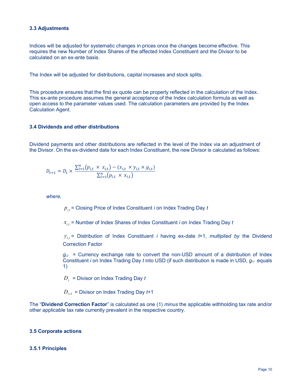#### 3.3 Adjustments

Indices will be adjusted for systematic changes in prices once the changes become effective. This requires the new Number of Index Shares of the affected Index Constituent and the Divisor to be calculated on an ex-ante basis.

The Index will be adjusted for distributions, capital increases and stock splits.

This procedure ensures that the first ex quote can be properly reflected in the calculation of the Index. This ex-ante procedure assumes the general acceptance of the Index calculation formula as well as open access to the parameter values used. The calculation parameters are provided by the Index Calculation Agent.

#### 3.4 Dividends and other distributions

Dividend payments and other distributions are reflected in the level of the Index via an adjustment of the Divisor. On the ex-dividend date for each Index Constituent, the new Divisor is calculated as follows:

$$
D_{t+1} = D_t \times \frac{\sum_{i=1}^{n} (p_{i,t} \times x_{i,t}) - (x_{i,t} \times y_{i,t} \times g_{i,t})}{\sum_{i=1}^{n} (p_{i,t} \times x_{i,t})}
$$

where,

 $p_{i,t}^{\parallel}$ = Closing Price of Index Constituent  $i$  on Index Trading Day  $t$ 

 $x_{i,t}$  = Number of Index Shares of Index Constituent  $i$  on Index Trading Day  $t$ 

 $y_{i,t}$  = Distribution of Index Constituent *i* having ex-date t+1, multiplied by the Dividend Correction Factor

 $g_{i,t}$  = Currency exchange rate to convert the non-USD amount of a distribution of Index Constituent *i* on Index Trading Day *t* into USD (if such distribution is made in USD,  $g_{it}$  equals 1)

 $\overline{D}_t^-$  = Divisor on Index Trading Day  $t$ 

 $D_{t+1}$  = Divisor on Index Trading Day  $t+1$ 

The "Dividend Correction Factor" is calculated as one (1) minus the applicable withholding tax rate and/or other applicable tax rate currently prevalent in the respective country.

# 3.5 Corporate actions

#### 3.5.1 Principles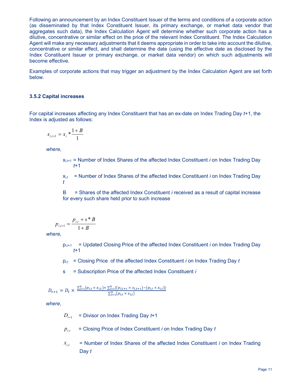Following an announcement by an Index Constituent Issuer of the terms and conditions of a corporate action (as disseminated by that Index Constituent Issuer, its primary exchange, or market data vendor that aggregates such data), the Index Calculation Agent will determine whether such corporate action has a dilutive, concentrative or similar effect on the price of the relevant Index Constituent. The Index Calculation Agent will make any necessary adjustments that it deems appropriate in order to take into account the dilutive, concentrative or similar effect, and shall determine the date (using the effective date as disclosed by the Index Constituent Issuer or primary exchange, or market data vendor) on which such adjustments will become effective.

Examples of corporate actions that may trigger an adjustment by the Index Calculation Agent are set forth below.

#### 3.5.2 Capital increases

For capital increases affecting any Index Constituent that has an ex-date on Index Trading Day t+1, the Index is adjusted as follows:

$$
x_{i,t+1} = x_i * \frac{1+B}{1}
$$

where,

 $x_{i,t+1}$  = Number of Index Shares of the affected Index Constituent *i* on Index Trading Day  $f+1$ 

 $x_{i,t}$  = Number of Index Shares of the affected Index Constituent *i* on Index Trading Day t

B = Shares of the affected Index Constituent i received as a result of capital increase for every such share held prior to such increase

$$
p_{i,t+1} = \frac{p_{i,t} + s \cdot B}{1 + B}
$$

where,

 $p_{i,t+1}$  = Updated Closing Price of the affected Index Constituent *i* on Index Trading Day t+1

 $p_{i,t}$  = Closing Price of the affected Index Constituent *i* on Index Trading Day *t* 

s = Subscription Price of the affected Index Constituent *i* 

$$
D_{t+1} = D_t \times \frac{\sum_{i=1}^{n} (p_{i,t} \times x_{i,t}) + \sum_{i=1}^{n} [(p_{i,t+1} \times x_{i,t+1}) - (p_{i,t} \times x_{i,t})]}{\sum_{i=1}^{n} (p_{i,t} \times x_{i,t})}
$$

where,

 $=$  Divisor on Index Trading Day  $t+1$  $D_{t+1}$ 

- $=$  Closing Price of Index Constituent *i* on Index Trading Day  $t$  $p_{i,t}$
- = Number of Index Shares of the affected Index Constituent i on Index Trading Day t  $x_{i,t}$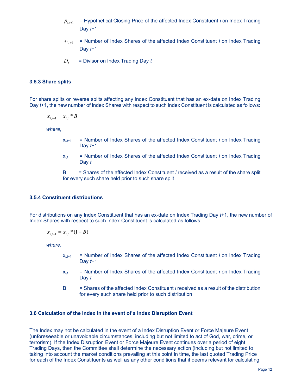- = Hypothetical Closing Price of the affected Index Constituent i on Index Trading Day  $t+1$  $p_{i,t+1}$
- $=$  Number of Index Shares of the affected Index Constituent  $i$  on Index Trading Day  $t+1$  $x_{i,t+1}$
- $=$  Divisor on Index Trading Day  $t$  $D_t$

#### 3.5.3 Share splits

For share splits or reverse splits affecting any Index Constituent that has an ex-date on Index Trading Day t+1, the new number of Index Shares with respect to such Index Constituent is calculated as follows:

$$
x_{i,t+1} = x_{i,t} * B
$$

where,

- $x_{i,t+1}$  = Number of Index Shares of the affected Index Constituent *i* on Index Trading Day  $t+1$
- $x_{i,t}$  = Number of Index Shares of the affected Index Constituent *i* on Index Trading Day t

 $B =$  Shares of the affected Index Constituent *i* received as a result of the share split for every such share held prior to such share split

#### 3.5.4 Constituent distributions

For distributions on any Index Constituent that has an ex-date on Index Trading Day t+1, the new number of Index Shares with respect to such Index Constituent is calculated as follows:

$$
x_{i,t+1} = x_{i,t} * (1 + B)
$$

where,

- $x_{i,t+1}$  = Number of Index Shares of the affected Index Constituent *i* on Index Trading Day  $t+1$
- $x_{i,t}$  = Number of Index Shares of the affected Index Constituent *i* on Index Trading Day t
- B = Shares of the affected Index Constituent i received as a result of the distribution for every such share held prior to such distribution

#### 3.6 Calculation of the Index in the event of a Index Disruption Event

The Index may not be calculated in the event of a Index Disruption Event or Force Majeure Event (unforeseeable or unavoidable circumstances, including but not limited to act of God, war, crime, or terrorism). If the Index Disruption Event or Force Majeure Event continues over a period of eight Trading Days, then the Committee shall determine the necessary action (including but not limited to taking into account the market conditions prevailing at this point in time, the last quoted Trading Price for each of the Index Constituents as well as any other conditions that it deems relevant for calculating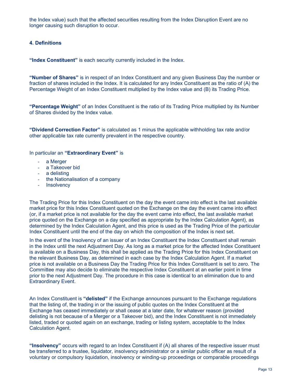the Index value) such that the affected securities resulting from the Index Disruption Event are no longer causing such disruption to occur.

# 4. Definitions

"Index Constituent" is each security currently included in the Index.

"Number of Shares" is in respect of an Index Constituent and any given Business Day the number or fraction of shares included in the Index. It is calculated for any Index Constituent as the ratio of (A) the Percentage Weight of an Index Constituent multiplied by the Index value and (B) its Trading Price.

"Percentage Weight" of an Index Constituent is the ratio of its Trading Price multiplied by its Number of Shares divided by the Index value.

"Dividend Correction Factor" is calculated as 1 minus the applicable withholding tax rate and/or other applicable tax rate currently prevalent in the respective country.

In particular an "Extraordinary Event" is

- a Merger
- a Takeover bid
- a delisting
- the Nationalisation of a company
- Insolvency

The Trading Price for this Index Constituent on the day the event came into effect is the last available market price for this Index Constituent quoted on the Exchange on the day the event came into effect (or, if a market price is not available for the day the event came into effect, the last available market price quoted on the Exchange on a day specified as appropriate by the Index Calculation Agent), as determined by the Index Calculation Agent, and this price is used as the Trading Price of the particular Index Constituent until the end of the day on which the composition of the Index is next set.

In the event of the Insolvency of an issuer of an Index Constituent the Index Constituent shall remain in the Index until the next Adjustment Day. As long as a market price for the affected Index Constituent is available on a Business Day, this shall be applied as the Trading Price for this Index Constituent on the relevant Business Day, as determined in each case by the Index Calculation Agent. If a market price is not available on a Business Day the Trading Price for this Index Constituent is set to zero. The Committee may also decide to eliminate the respective Index Constituent at an earlier point in time prior to the next Adjustment Day. The procedure in this case is identical to an elimination due to and Extraordinary Event.

An Index Constituent is "delisted" if the Exchange announces pursuant to the Exchange regulations that the listing of, the trading in or the issuing of public quotes on the Index Constituent at the Exchange has ceased immediately or shall cease at a later date, for whatever reason (provided delisting is not because of a Merger or a Takeover bid), and the Index Constituent is not immediately listed, traded or quoted again on an exchange, trading or listing system, acceptable to the Index Calculation Agent.

"Insolvency" occurs with regard to an Index Constituent if  $(A)$  all shares of the respective issuer must be transferred to a trustee, liquidator, insolvency administrator or a similar public officer as result of a voluntary or compulsory liquidation, insolvency or winding-up proceedings or comparable proceedings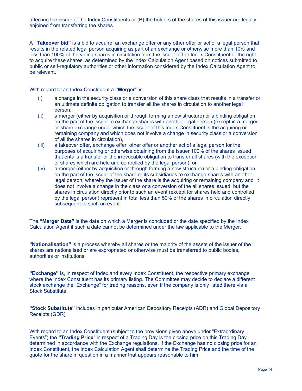affecting the issuer of the Index Constituents or (B) the holders of the shares of this issuer are legally enjoined from transferring the shares.

A "Takeover bid" is a bid to acquire, an exchange offer or any other offer or act of a legal person that results in the related legal person acquiring as part of an exchange or otherwise more than 10% and less than 100% of the voting shares in circulation from the issuer of the Index Constituent or the right to acquire these shares, as determined by the Index Calculation Agent based on notices submitted to public or self-regulatory authorities or other information considered by the Index Calculation Agent to be relevant.

With regard to an Index Constituent a "Merger" is

- (i) a change in the security class or a conversion of this share class that results in a transfer or an ultimate definite obligation to transfer all the shares in circulation to another legal person,
- (ii) a merger (either by acquisition or through forming a new structure) or a binding obligation on the part of the issuer to exchange shares with another legal person (except in a merger or share exchange under which the issuer of this Index Constituent is the acquiring or remaining company and which does not involve a change in security class or a conversion of all the shares in circulation),
- (iii) a takeover offer, exchange offer, other offer or another act of a legal person for the purposes of acquiring or otherwise obtaining from the issuer 100% of the shares issued that entails a transfer or the irrevocable obligation to transfer all shares (with the exception of shares which are held and controlled by the legal person), or
- (iv) a merger (either by acquisition or through forming a new structure) or a binding obligation on the part of the issuer of the share or its subsidiaries to exchange shares with another legal person, whereby the issuer of the share is the acquiring or remaining company and it does not involve a change in the class or a conversion of the all shares issued, but the shares in circulation directly prior to such an event (except for shares held and controlled by the legal person) represent in total less than 50% of the shares in circulation directly subsequent to such an event.

The "Merger Date" is the date on which a Merger is concluded or the date specified by the Index Calculation Agent if such a date cannot be determined under the law applicable to the Merger.

"Nationalisation" is a process whereby all shares or the majority of the assets of the issuer of the shares are nationalised or are expropriated or otherwise must be transferred to public bodies, authorities or institutions.

"Exchange" is, in respect of Index and every Index Constituent, the respective primary exchange where the Index Constituent has its primary listing. The Committee may decide to declare a different stock exchange the "Exchange" for trading reasons, even if the company is only listed there via a Stock Substitute.

"Stock Substitute" includes in particular American Depository Receipts (ADR) and Global Depository Receipts (GDR).

With regard to an Index Constituent (subject to the provisions given above under "Extraordinary Events") the "Trading Price" in respect of a Trading Day is the closing price on this Trading Day determined in accordance with the Exchange regulations. If the Exchange has no closing price for an Index Constituent, the Index Calculation Agent shall determine the Trading Price and the time of the quote for the share in question in a manner that appears reasonable to him.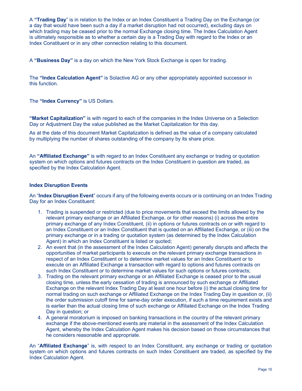A "Trading Day" is in relation to the Index or an Index Constituent a Trading Day on the Exchange (or a day that would have been such a day if a market disruption had not occurred), excluding days on which trading may be ceased prior to the normal Exchange closing time. The Index Calculation Agent is ultimately responsible as to whether a certain day is a Trading Day with regard to the Index or an Index Constituent or in any other connection relating to this document.

A "Business Day" is a day on which the New York Stock Exchange is open for trading.

The "Index Calculation Agent" is Solactive AG or any other appropriately appointed successor in this function.

The "Index Currency" is US Dollars.

"Market Capitalization" is with regard to each of the companies in the Index Universe on a Selection Day or Adjustment Day the value published as the Market Capitalization for this day.

As at the date of this document Market Capitalization is defined as the value of a company calculated by multiplying the number of shares outstanding of the company by its share price.

An "**Affiliated Exchange**" is with regard to an Index Constituent any exchange or trading or quotation system on which options and futures contracts on the Index Constituent in question are traded, as specified by the Index Calculation Agent.

# Index Disruption Events

An "Index Disruption Event" occurs if any of the following events occurs or is continuing on an Index Trading Day for an Index Constituent:

- 1. Trading is suspended or restricted (due to price movements that exceed the limits allowed by the relevant primary exchange or an Affiliated Exchange, or for other reasons) (i) across the entire primary exchange of any Index Constituent, (ii) in options or futures contracts on or with regard to an Index Constituent or an Index Constituent that is quoted on an Affiliated Exchange, or (iii) on the primary exchange or in a trading or quotation system (as determined by the Index Calculation Agent) in which an Index Constituent is listed or quoted;
- 2. An event that (in the assessment of the Index Calculation Agent) generally disrupts and affects the opportunities of market participants to execute on the relevant primary exchange transactions in respect of an Index Constituent or to determine market values for an Index Constituent or to execute on an Affiliated Exchange a transaction with regard to options and futures contracts on such Index Constituent or to determine market values for such options or futures contracts;
- 3. Trading on the relevant primary exchange or an Affiliated Exchange is ceased prior to the usual closing time, unless the early cessation of trading is announced by such exchange or Affiliated Exchange on the relevant Index Trading Day at least one hour before (i) the actual closing time for normal trading on such exchange or Affiliated Exchange on the Index Trading Day in question or, (ii) the order submission cutoff time for same-day order execution, if such a time requirement exists and is earlier than the actual closing time of such exchange or Affiliated Exchange on the Index Trading Day in question; or
- 4. A general moratorium is imposed on banking transactions in the country of the relevant primary exchange if the above-mentioned events are material in the assessment of the Index Calculation Agent, whereby the Index Calculation Agent makes his decision based on those circumstances that he considers reasonable and appropriate.

An "**Affiliated Exchange**" is, with respect to an Index Constituent, any exchange or trading or quotation system on which options and futures contracts on such Index Constituent are traded, as specified by the Index Calculation Agent.